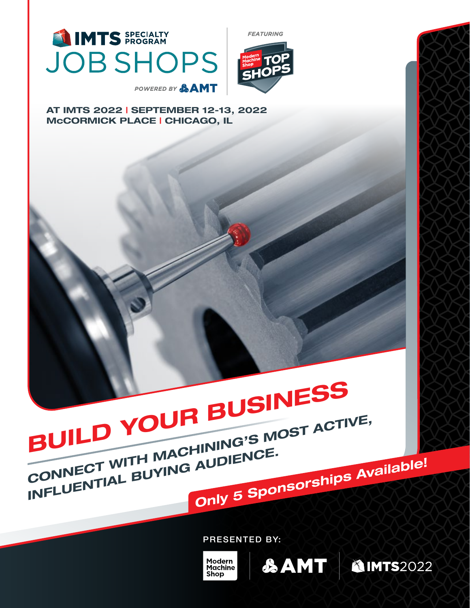

**FEATURING** 



AT IMTS 2022 | SEPTEMBER 12-13, 2022 McCORMICK PLACE | CHICAGO, IL

# BUILD YOUR BUSINESS CONNECT WITH MACHINING'S MOST ACTIVE, INFLUENTIAL BUYING AUDIENCE.

PRESENTED BY:

Modern<br>Machine **Shop** 

Only 5 Sponsorships Available!

SAMT | AIMTS2022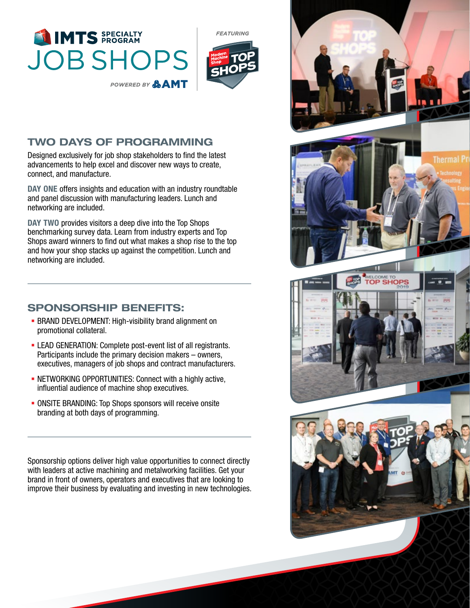



## TWO DAYS OF PROGRAMMING

Designed exclusively for job shop stakeholders to find the latest advancements to help excel and discover new ways to create, connect, and manufacture.

DAY ONE offers insights and education with an industry roundtable and panel discussion with manufacturing leaders. Lunch and networking are included.

DAY TWO provides visitors a deep dive into the Top Shops benchmarking survey data. Learn from industry experts and Top Shops award winners to find out what makes a shop rise to the top and how your shop stacks up against the competition. Lunch and networking are included.

## SPONSORSHIP BENEFITS:

- **BRAND DEVELOPMENT: High-visibility brand alignment on** promotional collateral.
- LEAD GENERATION: Complete post-event list of all registrants. Participants include the primary decision makers – owners, executives, managers of job shops and contract manufacturers.
- NETWORKING OPPORTUNITIES: Connect with a highly active, influential audience of machine shop executives.
- ONSITE BRANDING: Top Shops sponsors will receive onsite branding at both days of programming.

Sponsorship options deliver high value opportunities to connect directly with leaders at active machining and metalworking facilities. Get your brand in front of owners, operators and executives that are looking to improve their business by evaluating and investing in new technologies.